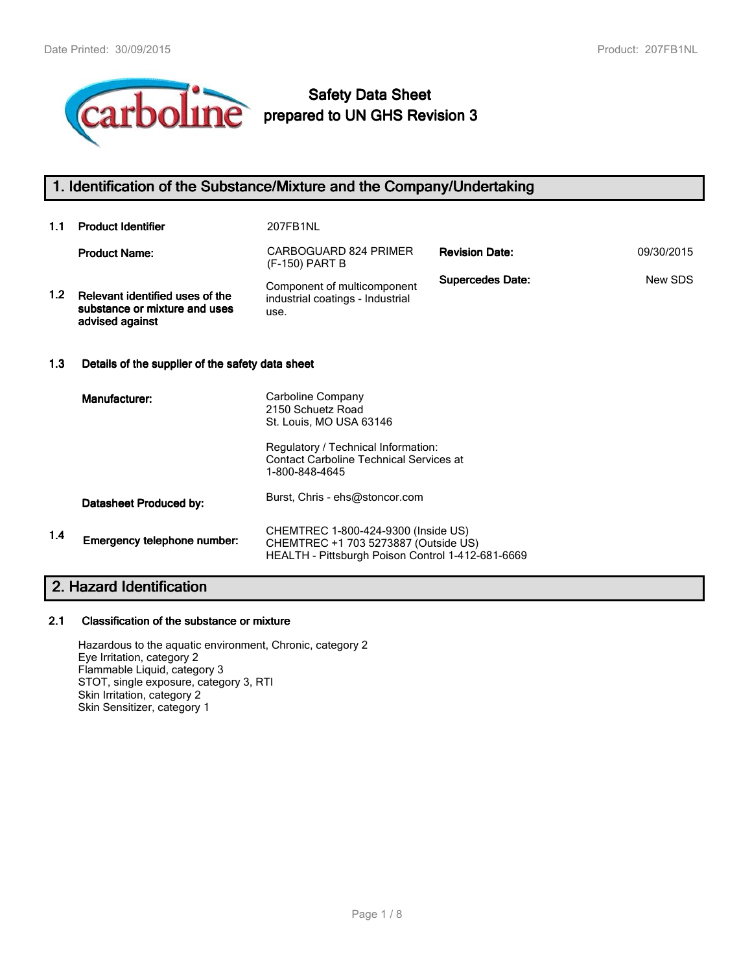

# **Safety Data Sheet prepared to UN GHS Revision 3**

## **1. Identification of the Substance/Mixture and the Company/Undertaking**

| 1.1              | <b>Product Identifier</b>                                                           | 207FB1NL                                                                                                                                                   |                         |            |
|------------------|-------------------------------------------------------------------------------------|------------------------------------------------------------------------------------------------------------------------------------------------------------|-------------------------|------------|
|                  | <b>Product Name:</b>                                                                | CARBOGUARD 824 PRIMER<br>(F-150) PART B                                                                                                                    | <b>Revision Date:</b>   | 09/30/2015 |
| 1.2 <sub>1</sub> | Relevant identified uses of the<br>substance or mixture and uses<br>advised against | Component of multicomponent<br>industrial coatings - Industrial<br>use.                                                                                    | <b>Supercedes Date:</b> | New SDS    |
| 1.3              |                                                                                     | Details of the supplier of the safety data sheet                                                                                                           |                         |            |
|                  | Manufacturer:                                                                       | Carboline Company<br>2150 Schuetz Road<br>St. Louis, MO USA 63146<br>Regulatory / Technical Information:<br><b>Contact Carboline Technical Services at</b> |                         |            |
|                  |                                                                                     | 1-800-848-4645                                                                                                                                             |                         |            |
|                  | Datasheet Produced by:                                                              | Burst, Chris - ehs@stoncor.com                                                                                                                             |                         |            |
| 1.4              | Emergency telephone number:                                                         | CHEMTREC 1-800-424-9300 (Inside US)<br>CHEMTREC +1 703 5273887 (Outside US)<br>HEALTH - Pittsburgh Poison Control 1-412-681-6669                           |                         |            |
|                  |                                                                                     |                                                                                                                                                            |                         |            |

# **2. Hazard Identification**

## **2.1 Classification of the substance or mixture**

Hazardous to the aquatic environment, Chronic, category 2 Eye Irritation, category 2 Flammable Liquid, category 3 STOT, single exposure, category 3, RTI Skin Irritation, category 2 Skin Sensitizer, category 1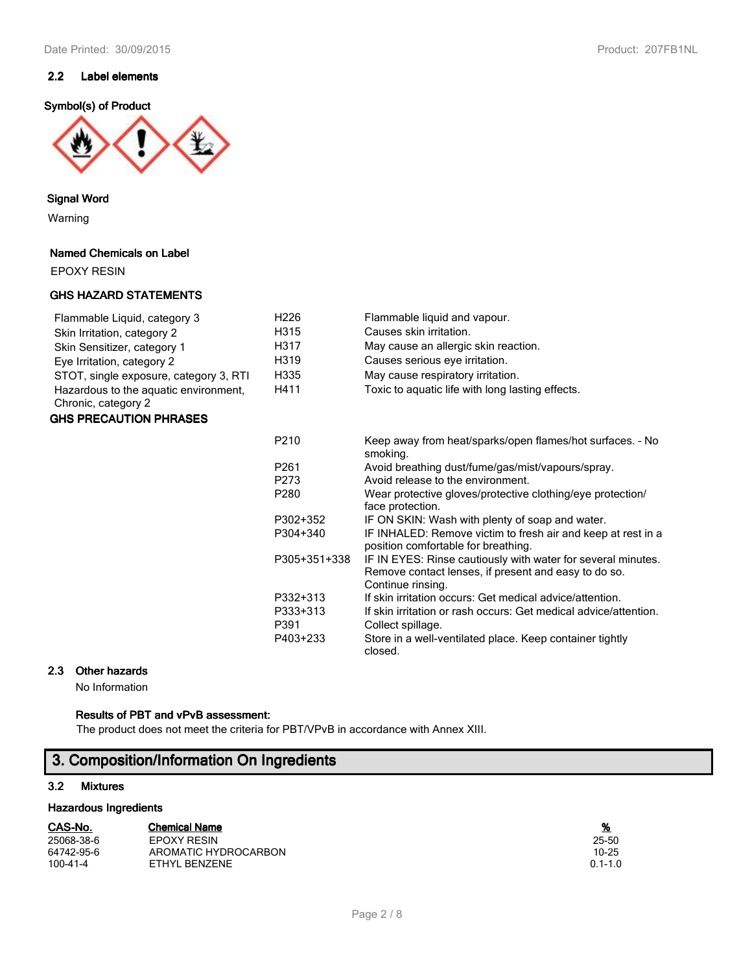## **2.2 Label elements**

## **Symbol(s) of Product**



**Signal Word**

Warning

## **Named Chemicals on Label**

EPOXY RESIN

## **GHS HAZARD STATEMENTS**

| Flammable Liquid, category 3                                 | H <sub>226</sub> | Flammable liquid and vapour.                     |
|--------------------------------------------------------------|------------------|--------------------------------------------------|
| Skin Irritation, category 2                                  | H315             | Causes skin irritation.                          |
| Skin Sensitizer, category 1                                  | H317             | May cause an allergic skin reaction.             |
| Eye Irritation, category 2                                   | H319             | Causes serious eye irritation.                   |
| STOT, single exposure, category 3, RTI                       | H335             | May cause respiratory irritation.                |
| Hazardous to the aquatic environment.<br>Chronic, category 2 | H411             | Toxic to aguatic life with long lasting effects. |

## **GHS PRECAUTION PHRASES**

| P <sub>210</sub> | Keep away from heat/sparks/open flames/hot surfaces. - No<br>smoking.                                                                     |
|------------------|-------------------------------------------------------------------------------------------------------------------------------------------|
| P <sub>261</sub> | Avoid breathing dust/fume/gas/mist/vapours/spray.                                                                                         |
| P <sub>273</sub> | Avoid release to the environment.                                                                                                         |
| P <sub>280</sub> | Wear protective gloves/protective clothing/eye protection/<br>face protection.                                                            |
| P302+352         | IF ON SKIN: Wash with plenty of soap and water.                                                                                           |
| P304+340         | IF INHALED: Remove victim to fresh air and keep at rest in a<br>position comfortable for breathing.                                       |
| P305+351+338     | IF IN EYES: Rinse cautiously with water for several minutes.<br>Remove contact lenses, if present and easy to do so.<br>Continue rinsing. |
| P332+313         | If skin irritation occurs: Get medical advice/attention.                                                                                  |
| P333+313         | If skin irritation or rash occurs: Get medical advice/attention.                                                                          |
| P391             | Collect spillage.                                                                                                                         |
| P403+233         | Store in a well-ventilated place. Keep container tightly<br>closed.                                                                       |

## **2.3 Other hazards**

No Information

## **Results of PBT and vPvB assessment:**

The product does not meet the criteria for PBT/VPvB in accordance with Annex XIII.

## **3. Composition/Information On Ingredients**

## **3.2 Mixtures**

## **Hazardous Ingredients**

| ω                    |
|----------------------|
| <b>Chemical Name</b> |

| 25068-38-6 | <b>EPOXY RESIN</b>   | 25-50       |
|------------|----------------------|-------------|
| 64742-95-6 | AROMATIC HYDROCARBON | 10-25       |
| 100-41-4   | ETHYL BENZENE        | $0.1 - 1.0$ |

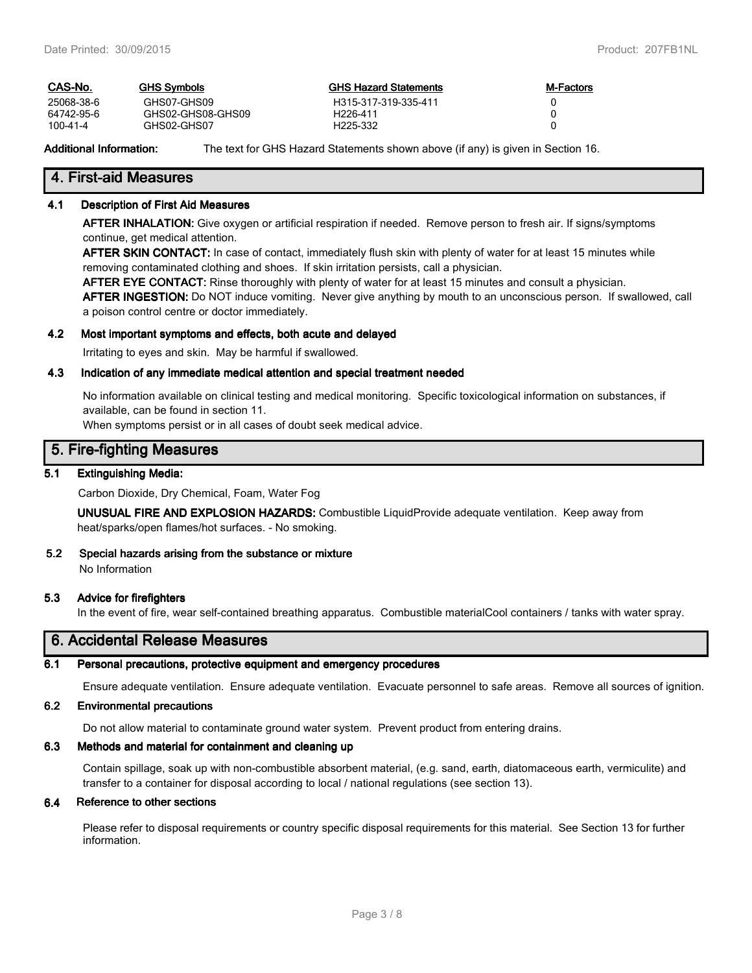| CAS-No.        | GHS Svmbols       | <b>GHS Hazard Statements</b> | <b>M-Factors</b> |
|----------------|-------------------|------------------------------|------------------|
| 25068-38-6     | GHS07-GHS09       | H315-317-319-335-411         |                  |
| 64742-95-6     | GHS02-GHS08-GHS09 | H <sub>226-411</sub>         |                  |
| $100 - 41 - 4$ | GHS02-GHS07       | H <sub>225</sub> -332        |                  |

**Additional Information:** The text for GHS Hazard Statements shown above (if any) is given in Section 16.

## **4. First-aid Measures**

### **4.1 Description of First Aid Measures**

**AFTER INHALATION:** Give oxygen or artificial respiration if needed. Remove person to fresh air. If signs/symptoms continue, get medical attention.

**AFTER SKIN CONTACT:** In case of contact, immediately flush skin with plenty of water for at least 15 minutes while removing contaminated clothing and shoes. If skin irritation persists, call a physician.

**AFTER EYE CONTACT:** Rinse thoroughly with plenty of water for at least 15 minutes and consult a physician.

**AFTER INGESTION:** Do NOT induce vomiting. Never give anything by mouth to an unconscious person. If swallowed, call a poison control centre or doctor immediately.

#### **4.2 Most important symptoms and effects, both acute and delayed**

Irritating to eyes and skin. May be harmful if swallowed.

#### **4.3 Indication of any immediate medical attention and special treatment needed**

No information available on clinical testing and medical monitoring. Specific toxicological information on substances, if available, can be found in section 11.

When symptoms persist or in all cases of doubt seek medical advice.

## **5. Fire-fighting Measures**

## **5.1 Extinguishing Media:**

Carbon Dioxide, Dry Chemical, Foam, Water Fog

**UNUSUAL FIRE AND EXPLOSION HAZARDS:** Combustible LiquidProvide adequate ventilation. Keep away from heat/sparks/open flames/hot surfaces. - No smoking.

#### **5.2 Special hazards arising from the substance or mixture** No Information

## **5.3 Advice for firefighters**

In the event of fire, wear self-contained breathing apparatus. Combustible materialCool containers / tanks with water spray.

## **6. Accidental Release Measures**

#### **6.1 Personal precautions, protective equipment and emergency procedures**

Ensure adequate ventilation. Ensure adequate ventilation. Evacuate personnel to safe areas. Remove all sources of ignition.

## **6.2 Environmental precautions**

Do not allow material to contaminate ground water system. Prevent product from entering drains.

## **6.3 Methods and material for containment and cleaning up**

Contain spillage, soak up with non-combustible absorbent material, (e.g. sand, earth, diatomaceous earth, vermiculite) and transfer to a container for disposal according to local / national regulations (see section 13).

## **6.4 Reference to other sections**

Please refer to disposal requirements or country specific disposal requirements for this material. See Section 13 for further information.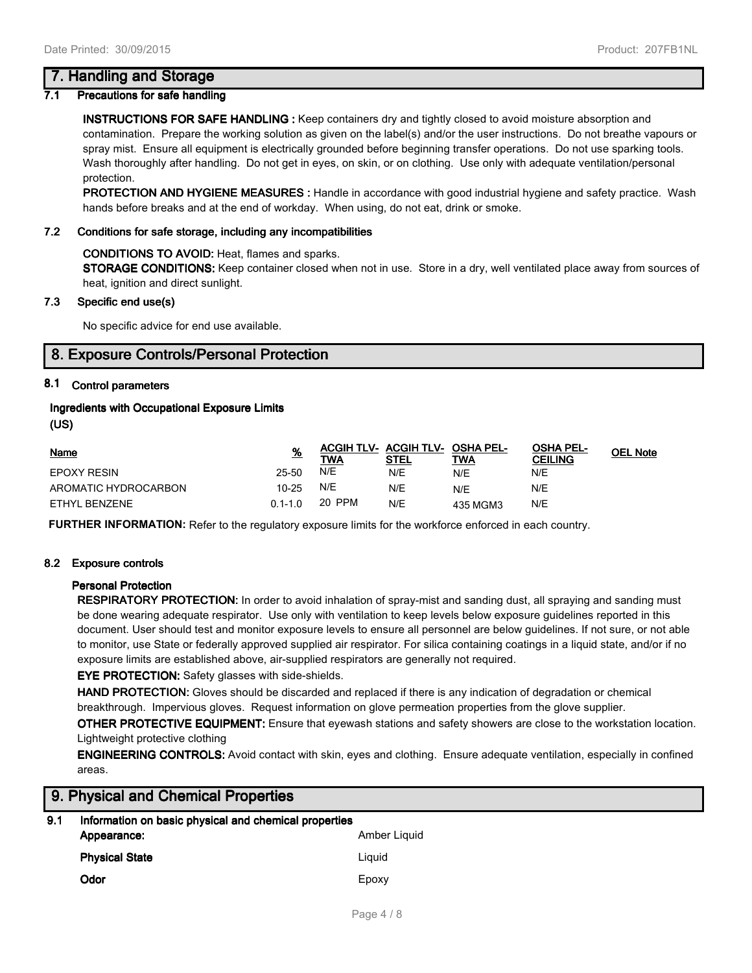## **7. Handling and Storage**

## **7.1 Precautions for safe handling**

**INSTRUCTIONS FOR SAFE HANDLING :** Keep containers dry and tightly closed to avoid moisture absorption and contamination. Prepare the working solution as given on the label(s) and/or the user instructions. Do not breathe vapours or spray mist. Ensure all equipment is electrically grounded before beginning transfer operations. Do not use sparking tools. Wash thoroughly after handling. Do not get in eyes, on skin, or on clothing. Use only with adequate ventilation/personal protection.

**PROTECTION AND HYGIENE MEASURES :** Handle in accordance with good industrial hygiene and safety practice. Wash hands before breaks and at the end of workday. When using, do not eat, drink or smoke.

## **7.2 Conditions for safe storage, including any incompatibilities**

## **CONDITIONS TO AVOID:** Heat, flames and sparks.

**STORAGE CONDITIONS:** Keep container closed when not in use. Store in a dry, well ventilated place away from sources of heat, ignition and direct sunlight.

## **7.3 Specific end use(s)**

No specific advice for end use available.

## **8. Exposure Controls/Personal Protection**

## **8.1 Control parameters**

## **Ingredients with Occupational Exposure Limits**

**(US)**

| <b>Name</b>          | <u>%</u>    | TWA    | <b>ACGIH TLV- ACGIH TLV- OSHA PEL-</b><br><b>STEL</b> | TWA      | <b>OSHA PEL-</b><br><b>CEILING</b> | <b>OEL Note</b> |
|----------------------|-------------|--------|-------------------------------------------------------|----------|------------------------------------|-----------------|
| <b>EPOXY RESIN</b>   | 25-50       | N/E    | N/E                                                   | N/E      | N/E                                |                 |
| AROMATIC HYDROCARBON | 10-25       | N/E    | N/E                                                   | N/E      | N/E                                |                 |
| ETHYL BENZENE        | $0.1 - 1.0$ | 20 PPM | N/E                                                   | 435 MGM3 | N/E                                |                 |

**FURTHER INFORMATION:** Refer to the regulatory exposure limits for the workforce enforced in each country.

## **8.2 Exposure controls**

## **Personal Protection**

**RESPIRATORY PROTECTION:** In order to avoid inhalation of spray-mist and sanding dust, all spraying and sanding must be done wearing adequate respirator. Use only with ventilation to keep levels below exposure guidelines reported in this document. User should test and monitor exposure levels to ensure all personnel are below guidelines. If not sure, or not able to monitor, use State or federally approved supplied air respirator. For silica containing coatings in a liquid state, and/or if no exposure limits are established above, air-supplied respirators are generally not required.

**EYE PROTECTION:** Safety glasses with side-shields.

**HAND PROTECTION:** Gloves should be discarded and replaced if there is any indication of degradation or chemical breakthrough. Impervious gloves. Request information on glove permeation properties from the glove supplier.

**OTHER PROTECTIVE EQUIPMENT:** Ensure that eyewash stations and safety showers are close to the workstation location. Lightweight protective clothing

**ENGINEERING CONTROLS:** Avoid contact with skin, eyes and clothing. Ensure adequate ventilation, especially in confined areas.

## **9. Physical and Chemical Properties**

| 9.1 | Information on basic physical and chemical properties |              |  |  |  |
|-----|-------------------------------------------------------|--------------|--|--|--|
|     | Appearance:                                           | Amber Liquid |  |  |  |
|     | <b>Physical State</b>                                 | Liauid       |  |  |  |
|     | Odor                                                  | Epoxy        |  |  |  |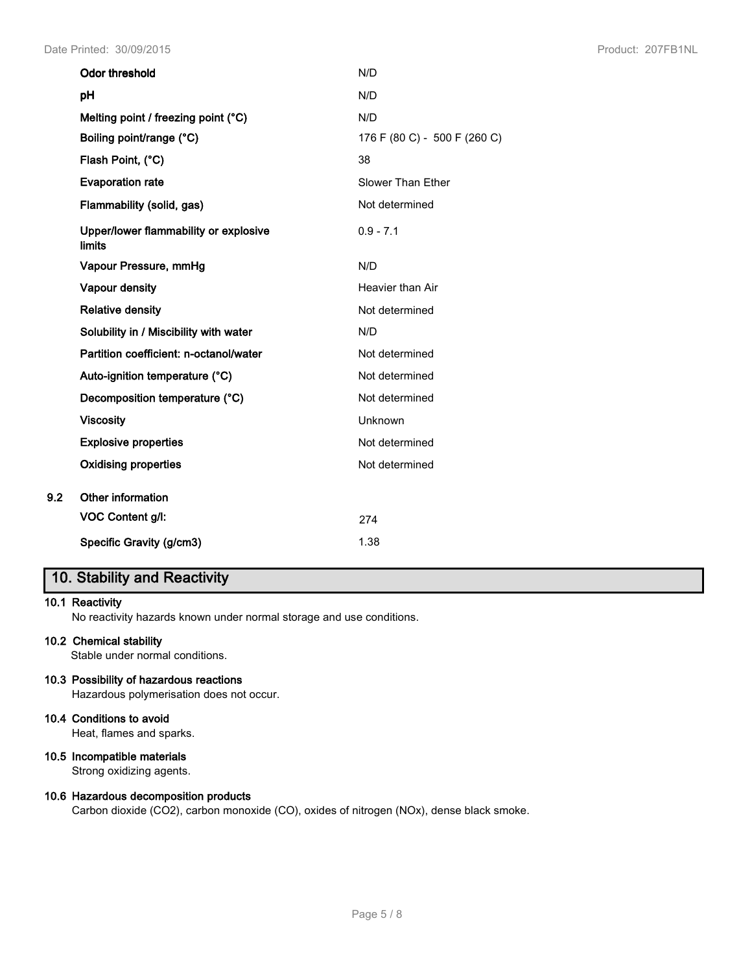| <b>Odor threshold</b>                                  | N/D                          |
|--------------------------------------------------------|------------------------------|
| pH                                                     | N/D                          |
| Melting point / freezing point (°C)                    | N/D                          |
| Boiling point/range (°C)                               | 176 F (80 C) - 500 F (260 C) |
| Flash Point, (°C)                                      | 38                           |
| <b>Evaporation rate</b>                                | Slower Than Ether            |
| Flammability (solid, gas)                              | Not determined               |
| Upper/lower flammability or explosive<br><b>limits</b> | $0.9 - 7.1$                  |
| Vapour Pressure, mmHg                                  | N/D                          |
| Vapour density                                         | Heavier than Air             |
| <b>Relative density</b>                                | Not determined               |
| Solubility in / Miscibility with water                 | N/D                          |
| Partition coefficient: n-octanol/water                 | Not determined               |
| Auto-ignition temperature (°C)                         | Not determined               |
| Decomposition temperature (°C)                         | Not determined               |
| <b>Viscosity</b>                                       | Unknown                      |
| <b>Explosive properties</b>                            | Not determined               |
| <b>Oxidising properties</b>                            | Not determined               |
| <b>Other information</b>                               |                              |
| VOC Content g/l:                                       | 274                          |
| Specific Gravity (g/cm3)                               | 1.38                         |

# **10. Stability and Reactivity**

## **10.1 Reactivity**

**9.2** 

No reactivity hazards known under normal storage and use conditions.

## **10.2 Chemical stability**

Stable under normal conditions.

## **10.3 Possibility of hazardous reactions**

Hazardous polymerisation does not occur.

## **10.4 Conditions to avoid**

Heat, flames and sparks.

## **10.5 Incompatible materials**

Strong oxidizing agents.

#### **10.6 Hazardous decomposition products**

Carbon dioxide (CO2), carbon monoxide (CO), oxides of nitrogen (NOx), dense black smoke.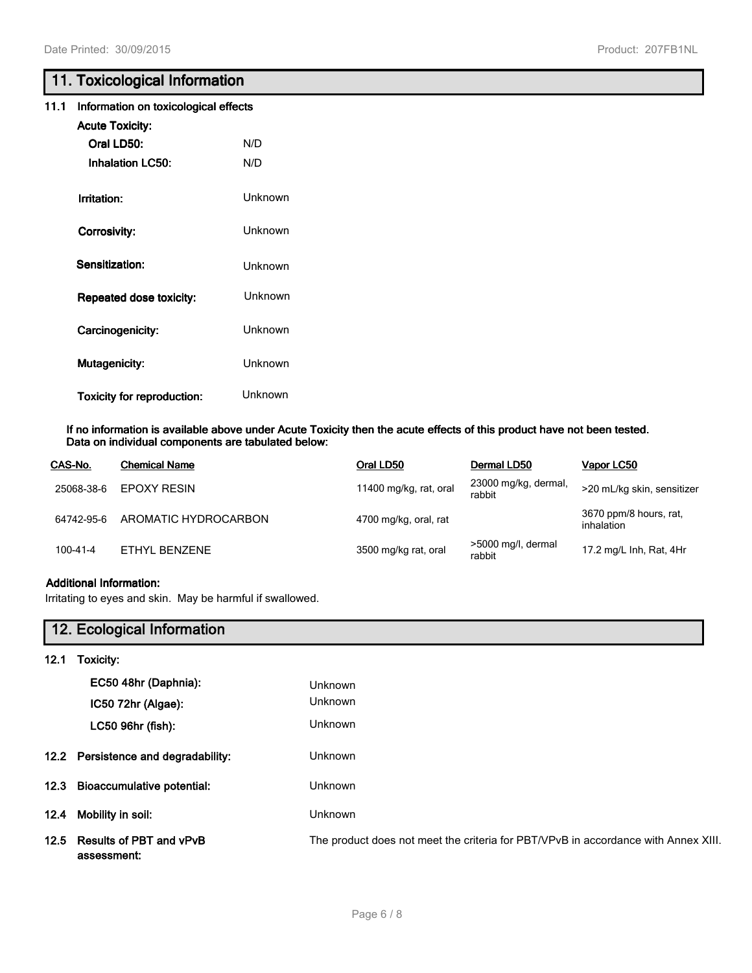## **11. Toxicological Information**

### **11.1 Information on toxicological effects**

| <b>Acute Toxicity:</b>            |         |
|-----------------------------------|---------|
| Oral LD50:                        | N/D     |
| <b>Inhalation LC50:</b>           | N/D     |
|                                   |         |
| Irritation:                       | Unknown |
| Corrosivity:                      | Unknown |
|                                   |         |
| Sensitization:                    | Unknown |
| <b>Repeated dose toxicity:</b>    | Unknown |
|                                   |         |
| Carcinogenicity:                  | Unknown |
| <b>Mutagenicity:</b>              | Unknown |
|                                   |         |
| <b>Toxicity for reproduction:</b> | Unknown |

#### **If no information is available above under Acute Toxicity then the acute effects of this product have not been tested. Data on individual components are tabulated below:**

| CAS-No.        | <b>Chemical Name</b> | Oral LD50              | Dermal LD50                    | Vapor LC50                           |
|----------------|----------------------|------------------------|--------------------------------|--------------------------------------|
| 25068-38-6     | <b>EPOXY RESIN</b>   | 11400 mg/kg, rat, oral | 23000 mg/kg, dermal,<br>rabbit | >20 mL/kg skin, sensitizer           |
| 64742-95-6     | AROMATIC HYDROCARBON | 4700 mg/kg, oral, rat  |                                | 3670 ppm/8 hours, rat,<br>inhalation |
| $100 - 41 - 4$ | ETHYL BENZENE        | 3500 mg/kg rat, oral   | >5000 mg/l, dermal<br>rabbit   | 17.2 mg/L Inh, Rat, 4Hr              |

## **Additional Information:**

Irritating to eyes and skin. May be harmful if swallowed.

|      | 12. Ecological Information             |                                                                                    |
|------|----------------------------------------|------------------------------------------------------------------------------------|
| 12.1 | Toxicity:                              |                                                                                    |
|      | EC50 48hr (Daphnia):                   | Unknown                                                                            |
|      | $IC5072hr$ (Algae):                    | <b>Unknown</b>                                                                     |
|      | LC50 96hr (fish):                      | <b>Unknown</b>                                                                     |
|      | 12.2 Persistence and degradability:    | <b>Unknown</b>                                                                     |
|      | 12.3 Bioaccumulative potential:        | <b>Unknown</b>                                                                     |
| 12.4 | Mobility in soil:                      | <b>Unknown</b>                                                                     |
| 12.5 | Results of PBT and vPvB<br>assessment: | The product does not meet the criteria for PBT/VPvB in accordance with Annex XIII. |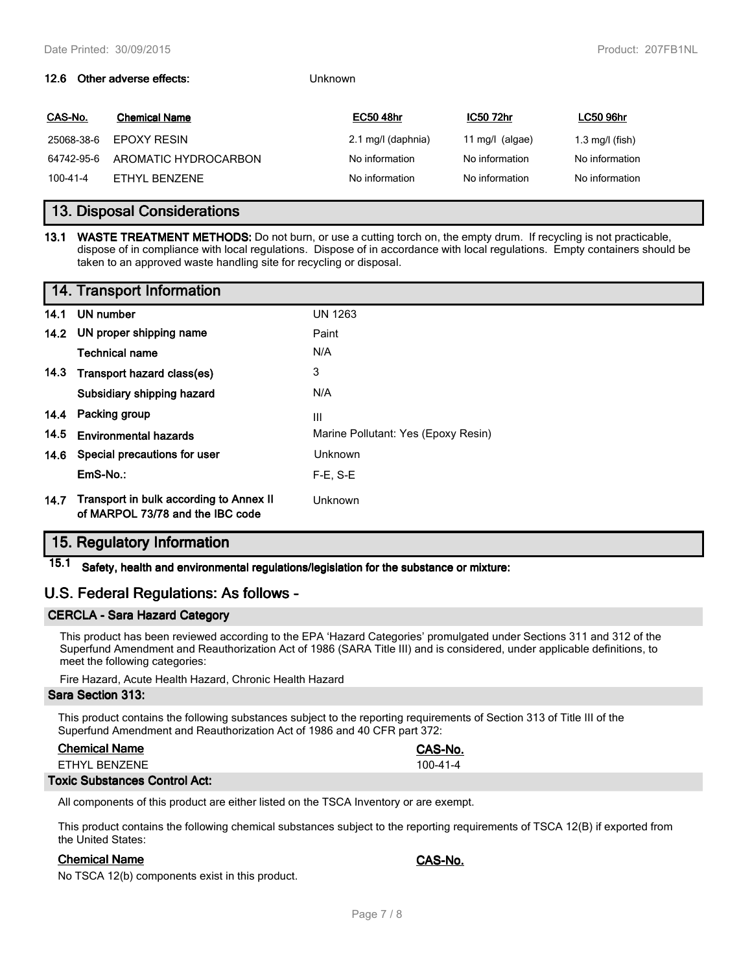#### **12.6** Other adverse effects:

| CAS-No.    | <b>Chemical Name</b> | <b>EC50 48hr</b>   | <b>IC50 72hr</b>  | <b>LC50 96hr</b>          |
|------------|----------------------|--------------------|-------------------|---------------------------|
| 25068-38-6 | EPOXY RESIN          | 2.1 mg/l (daphnia) | 11 mg/l $(algae)$ | $1.3 \text{ mg/l}$ (fish) |
| 64742-95-6 | AROMATIC HYDROCARBON | No information     | No information    | No information            |
| 100-41-4   | FTHYL BENZENE        | No information     | No information    | No information            |

## **13. Disposal Considerations**

**13.1 WASTE TREATMENT METHODS:** Do not burn, or use a cutting torch on, the empty drum. If recycling is not practicable, dispose of in compliance with local regulations. Dispose of in accordance with local regulations. Empty containers should be taken to an approved waste handling site for recycling or disposal.

|      | 14. Transport Information                                                   |                                     |
|------|-----------------------------------------------------------------------------|-------------------------------------|
| 14.1 | UN number                                                                   | <b>UN 1263</b>                      |
|      | 14.2 UN proper shipping name                                                | Paint                               |
|      | <b>Technical name</b>                                                       | N/A                                 |
|      | 14.3 Transport hazard class(es)                                             | 3                                   |
|      | Subsidiary shipping hazard                                                  | N/A                                 |
|      | 14.4 Packing group                                                          | Ш                                   |
| 14.5 | <b>Environmental hazards</b>                                                | Marine Pollutant: Yes (Epoxy Resin) |
|      | 14.6 Special precautions for user                                           | Unknown                             |
|      | EmS-No.:                                                                    | $F-E. S-E$                          |
| 14.7 | Transport in bulk according to Annex II<br>of MARPOL 73/78 and the IBC code | <b>Unknown</b>                      |

## **15. Regulatory Information**

**15.1 Safety, health and environmental regulations/legislation for the substance or mixture:**

## **U.S. Federal Regulations: As follows -**

## **CERCLA - Sara Hazard Category**

This product has been reviewed according to the EPA 'Hazard Categories' promulgated under Sections 311 and 312 of the Superfund Amendment and Reauthorization Act of 1986 (SARA Title III) and is considered, under applicable definitions, to meet the following categories:

Fire Hazard, Acute Health Hazard, Chronic Health Hazard

## **Sara Section 313:**

This product contains the following substances subject to the reporting requirements of Section 313 of Title III of the Superfund Amendment and Reauthorization Act of 1986 and 40 CFR part 372:

| <b>Chemical Name</b> | CAS-No.        |
|----------------------|----------------|
| FTHYL BENZENE        | $100 - 41 - 4$ |
|                      |                |

#### **Toxic Substances Control Act:**

All components of this product are either listed on the TSCA Inventory or are exempt.

This product contains the following chemical substances subject to the reporting requirements of TSCA 12(B) if exported from the United States:

#### **Chemical Name CAS-No.**

No TSCA 12(b) components exist in this product.